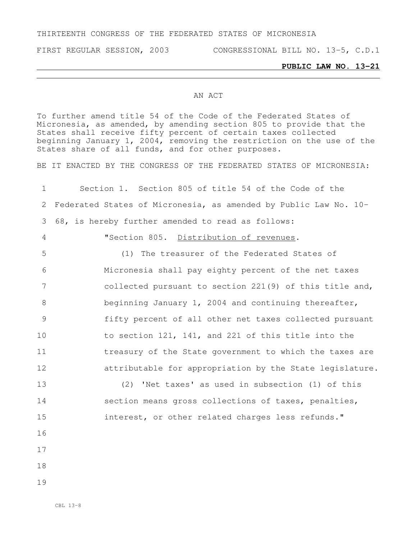## THIRTEENTH CONGRESS OF THE FEDERATED STATES OF MICRONESIA

FIRST REGULAR SESSION, 2003 CONGRESSIONAL BILL NO. 13-5, C.D.1

## **PUBLIC LAW NO. 13-21**

## AN ACT

To further amend title 54 of the Code of the Federated States of Micronesia, as amended, by amending section 805 to provide that the States shall receive fifty percent of certain taxes collected beginning January 1, 2004, removing the restriction on the use of the States share of all funds, and for other purposes.

BE IT ENACTED BY THE CONGRESS OF THE FEDERATED STATES OF MICRONESIA:

 Section 1. Section 805 of title 54 of the Code of the Federated States of Micronesia, as amended by Public Law No. 10- 68, is hereby further amended to read as follows: "Section 805. Distribution of revenues. (1) The treasurer of the Federated States of Micronesia shall pay eighty percent of the net taxes collected pursuant to section 221(9) of this title and, beginning January 1, 2004 and continuing thereafter, fifty percent of all other net taxes collected pursuant to section 121, 141, and 221 of this title into the 11 treasury of the State government to which the taxes are attributable for appropriation by the State legislature. (2) 'Net taxes' as used in subsection (1) of this 14 section means gross collections of taxes, penalties, interest, or other related charges less refunds." 16 17 18 19

CBL 13-8